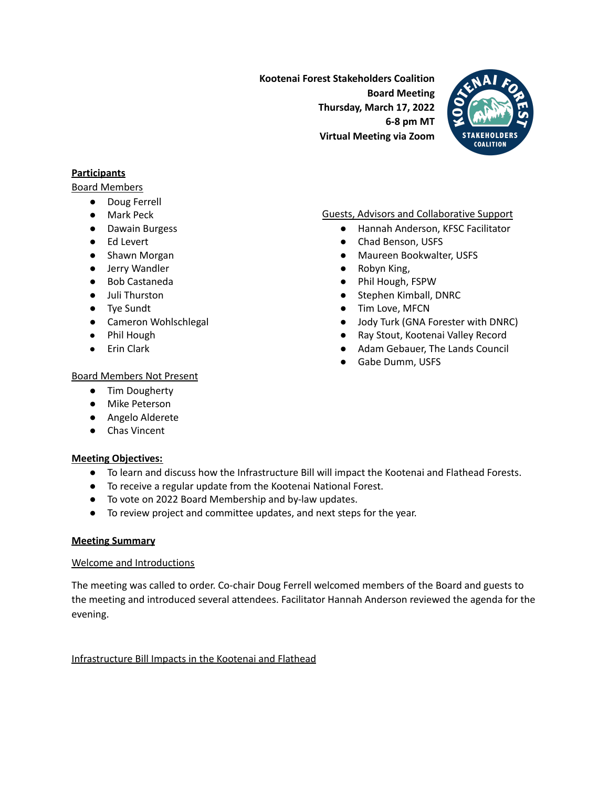**Kootenai Forest Stakeholders Coalition Board Meeting Thursday, March 17, 2022 6-8 pm MT Virtual Meeting via Zoom**



### **Participants**

Board Members

- Doug Ferrell
- Mark Peck
- Dawain Burgess
- Ed Levert
- Shawn Morgan
- Jerry Wandler
- Bob Castaneda
- Juli Thurston
- Tye Sundt
- Cameron Wohlschlegal
- Phil Hough
- Erin Clark

# ● Hannah Anderson, KFSC Facilitator

Guests, Advisors and Collaborative Support

- Chad Benson, USFS
- Maureen Bookwalter, USFS
- Robyn King,
- Phil Hough, FSPW
- Stephen Kimball, DNRC
- Tim Love, MFCN
- Jody Turk (GNA Forester with DNRC)
- Ray Stout, Kootenai Valley Record
- Adam Gebauer, The Lands Council
- Gabe Dumm, USFS

#### Board Members Not Present

- Tim Dougherty
- Mike Peterson
- Angelo Alderete
- Chas Vincent

# **Meeting Objectives:**

- To learn and discuss how the Infrastructure Bill will impact the Kootenai and Flathead Forests.
- To receive a regular update from the Kootenai National Forest.
- To vote on 2022 Board Membership and by-law updates.
- To review project and committee updates, and next steps for the year.

#### **Meeting Summary**

#### Welcome and Introductions

The meeting was called to order. Co-chair Doug Ferrell welcomed members of the Board and guests to the meeting and introduced several attendees. Facilitator Hannah Anderson reviewed the agenda for the evening.

Infrastructure Bill Impacts in the Kootenai and Flathead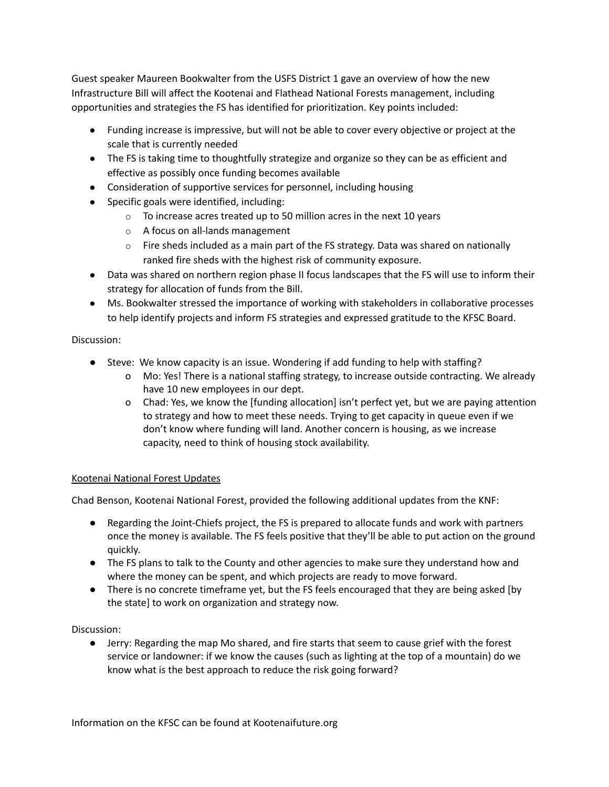Guest speaker Maureen Bookwalter from the USFS District 1 gave an overview of how the new Infrastructure Bill will affect the Kootenai and Flathead National Forests management, including opportunities and strategies the FS has identified for prioritization. Key points included:

- Funding increase is impressive, but will not be able to cover every objective or project at the scale that is currently needed
- The FS is taking time to thoughtfully strategize and organize so they can be as efficient and effective as possibly once funding becomes available
- Consideration of supportive services for personnel, including housing
- Specific goals were identified, including:
	- $\circ$  To increase acres treated up to 50 million acres in the next 10 years
	- o A focus on all-lands management
	- $\circ$  Fire sheds included as a main part of the FS strategy. Data was shared on nationally ranked fire sheds with the highest risk of community exposure.
- Data was shared on northern region phase II focus landscapes that the FS will use to inform their strategy for allocation of funds from the Bill.
- Ms. Bookwalter stressed the importance of working with stakeholders in collaborative processes to help identify projects and inform FS strategies and expressed gratitude to the KFSC Board.

# Discussion:

- Steve: We know capacity is an issue. Wondering if add funding to help with staffing?
	- o Mo: Yes! There is a national staffing strategy, to increase outside contracting. We already have 10 new employees in our dept.
	- o Chad: Yes, we know the [funding allocation] isn't perfect yet, but we are paying attention to strategy and how to meet these needs. Trying to get capacity in queue even if we don't know where funding will land. Another concern is housing, as we increase capacity, need to think of housing stock availability.

# Kootenai National Forest Updates

Chad Benson, Kootenai National Forest, provided the following additional updates from the KNF:

- Regarding the Joint-Chiefs project, the FS is prepared to allocate funds and work with partners once the money is available. The FS feels positive that they'll be able to put action on the ground quickly.
- The FS plans to talk to the County and other agencies to make sure they understand how and where the money can be spent, and which projects are ready to move forward.
- There is no concrete timeframe yet, but the FS feels encouraged that they are being asked [by the state] to work on organization and strategy now.

Discussion:

● Jerry: Regarding the map Mo shared, and fire starts that seem to cause grief with the forest service or landowner: if we know the causes (such as lighting at the top of a mountain) do we know what is the best approach to reduce the risk going forward?

Information on the KFSC can be found at Kootenaifuture.org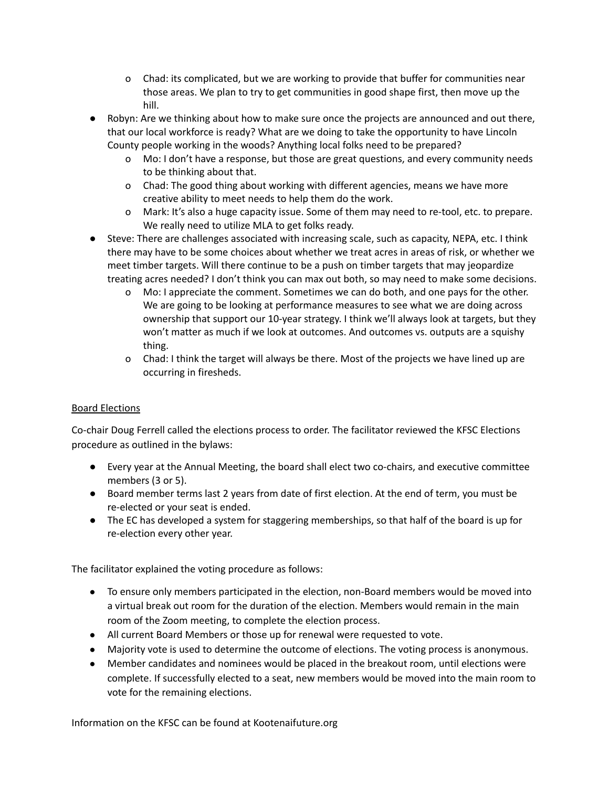- o Chad: its complicated, but we are working to provide that buffer for communities near those areas. We plan to try to get communities in good shape first, then move up the hill.
- Robyn: Are we thinking about how to make sure once the projects are announced and out there, that our local workforce is ready? What are we doing to take the opportunity to have Lincoln County people working in the woods? Anything local folks need to be prepared?
	- o Mo: I don't have a response, but those are great questions, and every community needs to be thinking about that.
	- o Chad: The good thing about working with different agencies, means we have more creative ability to meet needs to help them do the work.
	- o Mark: It's also a huge capacity issue. Some of them may need to re-tool, etc. to prepare. We really need to utilize MLA to get folks ready.
- Steve: There are challenges associated with increasing scale, such as capacity, NEPA, etc. I think there may have to be some choices about whether we treat acres in areas of risk, or whether we meet timber targets. Will there continue to be a push on timber targets that may jeopardize treating acres needed? I don't think you can max out both, so may need to make some decisions.
	- o Mo: I appreciate the comment. Sometimes we can do both, and one pays for the other. We are going to be looking at performance measures to see what we are doing across ownership that support our 10-year strategy. I think we'll always look at targets, but they won't matter as much if we look at outcomes. And outcomes vs. outputs are a squishy thing.
	- o Chad: I think the target will always be there. Most of the projects we have lined up are occurring in firesheds.

# Board Elections

Co-chair Doug Ferrell called the elections process to order. The facilitator reviewed the KFSC Elections procedure as outlined in the bylaws:

- Every year at the Annual Meeting, the board shall elect two co-chairs, and executive committee members (3 or 5).
- Board member terms last 2 years from date of first election. At the end of term, you must be re-elected or your seat is ended.
- The EC has developed a system for staggering memberships, so that half of the board is up for re-election every other year.

The facilitator explained the voting procedure as follows:

- To ensure only members participated in the election, non-Board members would be moved into a virtual break out room for the duration of the election. Members would remain in the main room of the Zoom meeting, to complete the election process.
- All current Board Members or those up for renewal were requested to vote.
- Majority vote is used to determine the outcome of elections. The voting process is anonymous.
- Member candidates and nominees would be placed in the breakout room, until elections were complete. If successfully elected to a seat, new members would be moved into the main room to vote for the remaining elections.

Information on the KFSC can be found at Kootenaifuture.org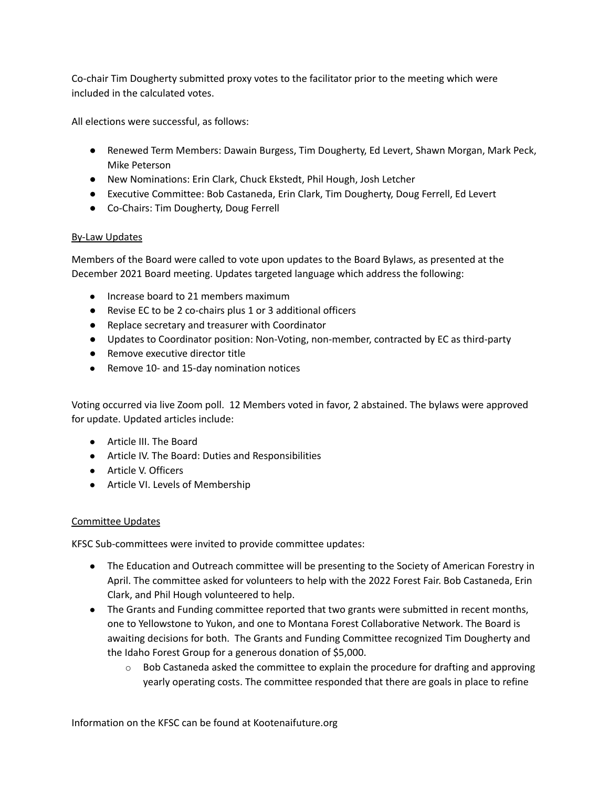Co-chair Tim Dougherty submitted proxy votes to the facilitator prior to the meeting which were included in the calculated votes.

All elections were successful, as follows:

- **●** Renewed Term Members: Dawain Burgess, Tim Dougherty, Ed Levert, Shawn Morgan, Mark Peck, Mike Peterson
- **●** New Nominations: Erin Clark, Chuck Ekstedt, Phil Hough, Josh Letcher
- **●** Executive Committee: Bob Castaneda, Erin Clark, Tim Dougherty, Doug Ferrell, Ed Levert
- **●** Co-Chairs: Tim Dougherty, Doug Ferrell

#### By-Law Updates

Members of the Board were called to vote upon updates to the Board Bylaws, as presented at the December 2021 Board meeting. Updates targeted language which address the following:

- Increase board to 21 members maximum
- Revise EC to be 2 co-chairs plus 1 or 3 additional officers
- Replace secretary and treasurer with Coordinator
- Updates to Coordinator position: Non-Voting, non-member, contracted by EC as third-party
- Remove executive director title
- Remove 10- and 15-day nomination notices

Voting occurred via live Zoom poll. 12 Members voted in favor, 2 abstained. The bylaws were approved for update. Updated articles include:

- Article III. The Board
- Article IV. The Board: Duties and Responsibilities
- Article V. Officers
- Article VI. Levels of Membership

# Committee Updates

KFSC Sub-committees were invited to provide committee updates:

- The Education and Outreach committee will be presenting to the Society of American Forestry in April. The committee asked for volunteers to help with the 2022 Forest Fair. Bob Castaneda, Erin Clark, and Phil Hough volunteered to help.
- The Grants and Funding committee reported that two grants were submitted in recent months, one to Yellowstone to Yukon, and one to Montana Forest Collaborative Network. The Board is awaiting decisions for both. The Grants and Funding Committee recognized Tim Dougherty and the Idaho Forest Group for a generous donation of \$5,000.
	- $\circ$  Bob Castaneda asked the committee to explain the procedure for drafting and approving yearly operating costs. The committee responded that there are goals in place to refine

Information on the KFSC can be found at Kootenaifuture.org